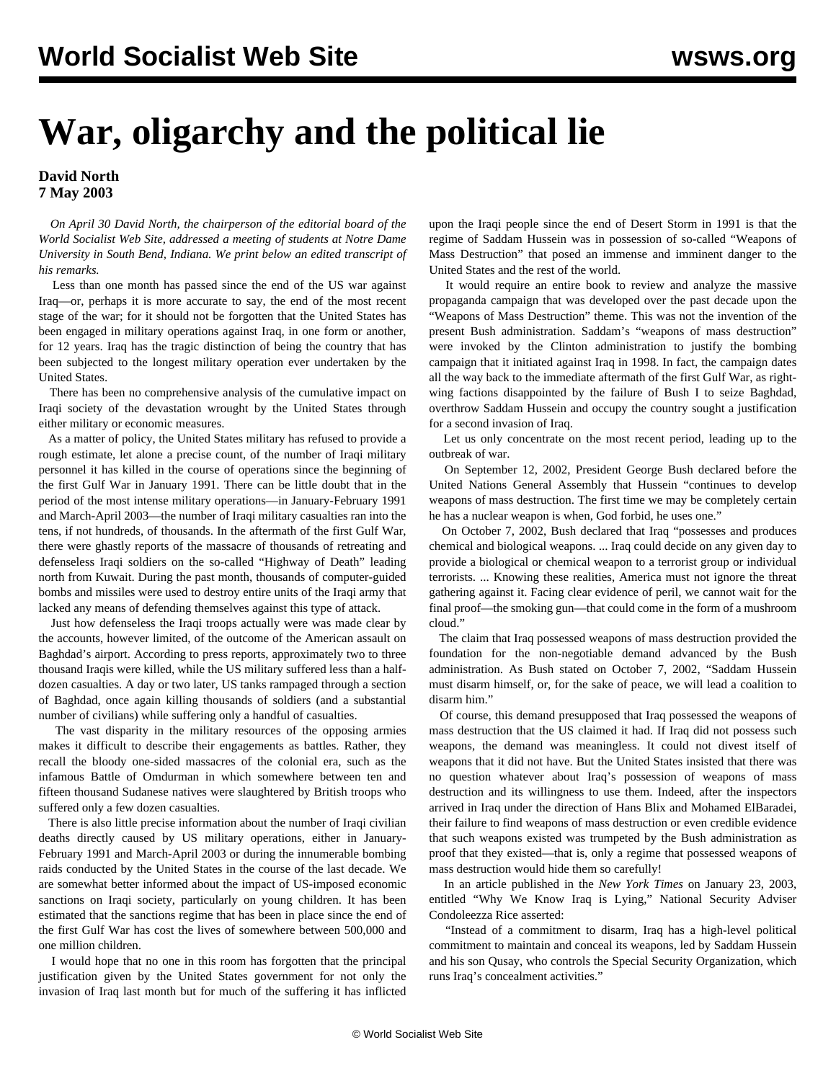## **War, oligarchy and the political lie**

## **David North 7 May 2003**

 *On April 30 David North, the chairperson of the editorial board of the World Socialist Web Site, addressed a meeting of students at Notre Dame University in South Bend, Indiana. We print below an edited transcript of his remarks.*

 Less than one month has passed since the end of the US war against Iraq—or, perhaps it is more accurate to say, the end of the most recent stage of the war; for it should not be forgotten that the United States has been engaged in military operations against Iraq, in one form or another, for 12 years. Iraq has the tragic distinction of being the country that has been subjected to the longest military operation ever undertaken by the United States.

 There has been no comprehensive analysis of the cumulative impact on Iraqi society of the devastation wrought by the United States through either military or economic measures.

 As a matter of policy, the United States military has refused to provide a rough estimate, let alone a precise count, of the number of Iraqi military personnel it has killed in the course of operations since the beginning of the first Gulf War in January 1991. There can be little doubt that in the period of the most intense military operations—in January-February 1991 and March-April 2003—the number of Iraqi military casualties ran into the tens, if not hundreds, of thousands. In the aftermath of the first Gulf War, there were ghastly reports of the massacre of thousands of retreating and defenseless Iraqi soldiers on the so-called "Highway of Death" leading north from Kuwait. During the past month, thousands of computer-guided bombs and missiles were used to destroy entire units of the Iraqi army that lacked any means of defending themselves against this type of attack.

 Just how defenseless the Iraqi troops actually were was made clear by the accounts, however limited, of the outcome of the American assault on Baghdad's airport. According to press reports, approximately two to three thousand Iraqis were killed, while the US military suffered less than a halfdozen casualties. A day or two later, US tanks rampaged through a section of Baghdad, once again killing thousands of soldiers (and a substantial number of civilians) while suffering only a handful of casualties.

 The vast disparity in the military resources of the opposing armies makes it difficult to describe their engagements as battles. Rather, they recall the bloody one-sided massacres of the colonial era, such as the infamous Battle of Omdurman in which somewhere between ten and fifteen thousand Sudanese natives were slaughtered by British troops who suffered only a few dozen casualties.

 There is also little precise information about the number of Iraqi civilian deaths directly caused by US military operations, either in January-February 1991 and March-April 2003 or during the innumerable bombing raids conducted by the United States in the course of the last decade. We are somewhat better informed about the impact of US-imposed economic sanctions on Iraqi society, particularly on young children. It has been estimated that the sanctions regime that has been in place since the end of the first Gulf War has cost the lives of somewhere between 500,000 and one million children.

 I would hope that no one in this room has forgotten that the principal justification given by the United States government for not only the invasion of Iraq last month but for much of the suffering it has inflicted upon the Iraqi people since the end of Desert Storm in 1991 is that the regime of Saddam Hussein was in possession of so-called "Weapons of Mass Destruction" that posed an immense and imminent danger to the United States and the rest of the world.

 It would require an entire book to review and analyze the massive propaganda campaign that was developed over the past decade upon the "Weapons of Mass Destruction" theme. This was not the invention of the present Bush administration. Saddam's "weapons of mass destruction" were invoked by the Clinton administration to justify the bombing campaign that it initiated against Iraq in 1998. In fact, the campaign dates all the way back to the immediate aftermath of the first Gulf War, as rightwing factions disappointed by the failure of Bush I to seize Baghdad, overthrow Saddam Hussein and occupy the country sought a justification for a second invasion of Iraq.

 Let us only concentrate on the most recent period, leading up to the outbreak of war.

 On September 12, 2002, President George Bush declared before the United Nations General Assembly that Hussein "continues to develop weapons of mass destruction. The first time we may be completely certain he has a nuclear weapon is when, God forbid, he uses one."

 On October 7, 2002, Bush declared that Iraq "possesses and produces chemical and biological weapons. ... Iraq could decide on any given day to provide a biological or chemical weapon to a terrorist group or individual terrorists. ... Knowing these realities, America must not ignore the threat gathering against it. Facing clear evidence of peril, we cannot wait for the final proof—the smoking gun—that could come in the form of a mushroom cloud."

 The claim that Iraq possessed weapons of mass destruction provided the foundation for the non-negotiable demand advanced by the Bush administration. As Bush stated on October 7, 2002, "Saddam Hussein must disarm himself, or, for the sake of peace, we will lead a coalition to disarm him."

 Of course, this demand presupposed that Iraq possessed the weapons of mass destruction that the US claimed it had. If Iraq did not possess such weapons, the demand was meaningless. It could not divest itself of weapons that it did not have. But the United States insisted that there was no question whatever about Iraq's possession of weapons of mass destruction and its willingness to use them. Indeed, after the inspectors arrived in Iraq under the direction of Hans Blix and Mohamed ElBaradei, their failure to find weapons of mass destruction or even credible evidence that such weapons existed was trumpeted by the Bush administration as proof that they existed—that is, only a regime that possessed weapons of mass destruction would hide them so carefully!

 In an article published in the *New York Times* on January 23, 2003, entitled "Why We Know Iraq is Lying," National Security Adviser Condoleezza Rice asserted:

 "Instead of a commitment to disarm, Iraq has a high-level political commitment to maintain and conceal its weapons, led by Saddam Hussein and his son Qusay, who controls the Special Security Organization, which runs Iraq's concealment activities."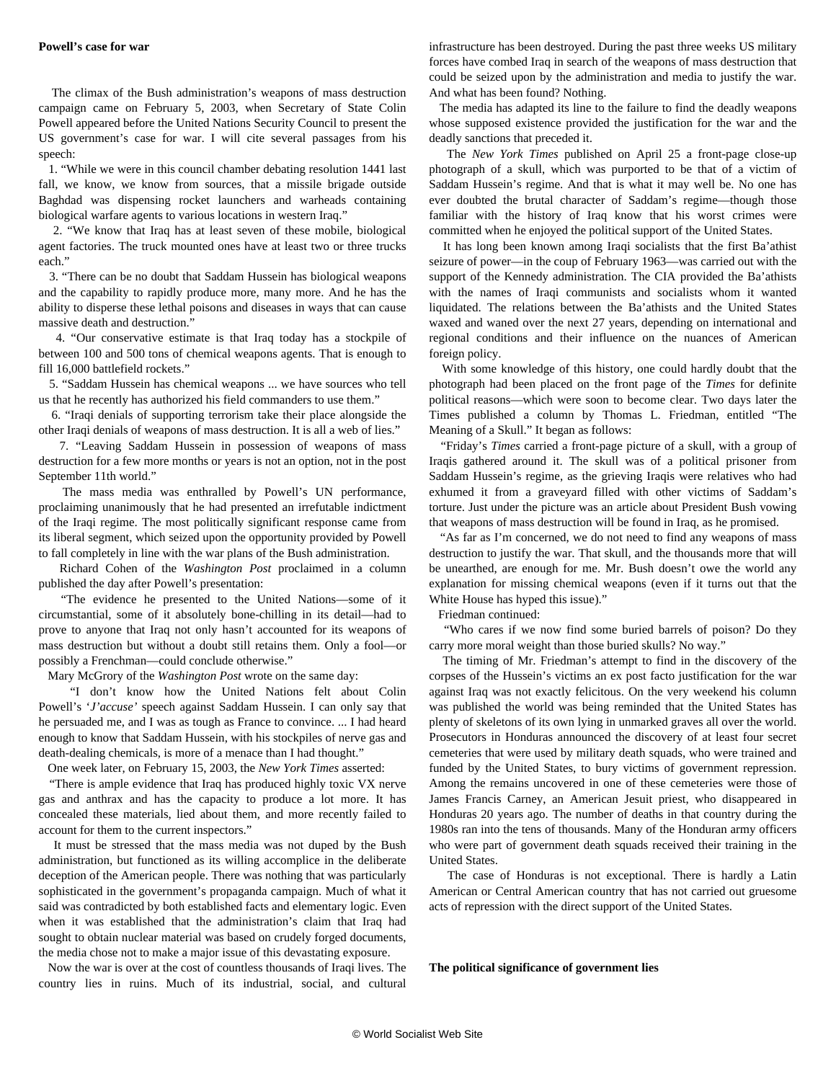The climax of the Bush administration's weapons of mass destruction campaign came on February 5, 2003, when Secretary of State Colin Powell appeared before the United Nations Security Council to present the US government's case for war. I will cite several passages from his speech:

 1. "While we were in this council chamber debating resolution 1441 last fall, we know, we know from sources, that a missile brigade outside Baghdad was dispensing rocket launchers and warheads containing biological warfare agents to various locations in western Iraq."

 2. "We know that Iraq has at least seven of these mobile, biological agent factories. The truck mounted ones have at least two or three trucks each"

 3. "There can be no doubt that Saddam Hussein has biological weapons and the capability to rapidly produce more, many more. And he has the ability to disperse these lethal poisons and diseases in ways that can cause massive death and destruction."

 4. "Our conservative estimate is that Iraq today has a stockpile of between 100 and 500 tons of chemical weapons agents. That is enough to fill 16,000 battlefield rockets."

 5. "Saddam Hussein has chemical weapons ... we have sources who tell us that he recently has authorized his field commanders to use them."

 6. "Iraqi denials of supporting terrorism take their place alongside the other Iraqi denials of weapons of mass destruction. It is all a web of lies."

 7. "Leaving Saddam Hussein in possession of weapons of mass destruction for a few more months or years is not an option, not in the post September 11th world."

 The mass media was enthralled by Powell's UN performance, proclaiming unanimously that he had presented an irrefutable indictment of the Iraqi regime. The most politically significant response came from its liberal segment, which seized upon the opportunity provided by Powell to fall completely in line with the war plans of the Bush administration.

 Richard Cohen of the *Washington Post* proclaimed in a column published the day after Powell's presentation:

 "The evidence he presented to the United Nations—some of it circumstantial, some of it absolutely bone-chilling in its detail—had to prove to anyone that Iraq not only hasn't accounted for its weapons of mass destruction but without a doubt still retains them. Only a fool—or possibly a Frenchman—could conclude otherwise."

Mary McGrory of the *Washington Post* wrote on the same day:

 "I don't know how the United Nations felt about Colin Powell's '*J'accuse'* speech against Saddam Hussein. I can only say that he persuaded me, and I was as tough as France to convince. ... I had heard enough to know that Saddam Hussein, with his stockpiles of nerve gas and death-dealing chemicals, is more of a menace than I had thought."

One week later, on February 15, 2003, the *New York Times* asserted:

 "There is ample evidence that Iraq has produced highly toxic VX nerve gas and anthrax and has the capacity to produce a lot more. It has concealed these materials, lied about them, and more recently failed to account for them to the current inspectors."

 It must be stressed that the mass media was not duped by the Bush administration, but functioned as its willing accomplice in the deliberate deception of the American people. There was nothing that was particularly sophisticated in the government's propaganda campaign. Much of what it said was contradicted by both established facts and elementary logic. Even when it was established that the administration's claim that Iraq had sought to obtain nuclear material was based on crudely forged documents, the media chose not to make a major issue of this devastating exposure.

 Now the war is over at the cost of countless thousands of Iraqi lives. The country lies in ruins. Much of its industrial, social, and cultural

infrastructure has been destroyed. During the past three weeks US military forces have combed Iraq in search of the weapons of mass destruction that could be seized upon by the administration and media to justify the war. And what has been found? Nothing.

 The media has adapted its line to the failure to find the deadly weapons whose supposed existence provided the justification for the war and the deadly sanctions that preceded it.

 The *New York Times* published on April 25 a front-page close-up photograph of a skull, which was purported to be that of a victim of Saddam Hussein's regime. And that is what it may well be. No one has ever doubted the brutal character of Saddam's regime—though those familiar with the history of Iraq know that his worst crimes were committed when he enjoyed the political support of the United States.

 It has long been known among Iraqi socialists that the first Ba'athist seizure of power—in the coup of February 1963—was carried out with the support of the Kennedy administration. The CIA provided the Ba'athists with the names of Iraqi communists and socialists whom it wanted liquidated. The relations between the Ba'athists and the United States waxed and waned over the next 27 years, depending on international and regional conditions and their influence on the nuances of American foreign policy.

 With some knowledge of this history, one could hardly doubt that the photograph had been placed on the front page of the *Times* for definite political reasons—which were soon to become clear. Two days later the Times published a column by Thomas L. Friedman, entitled "The Meaning of a Skull." It began as follows:

 "Friday's *Times* carried a front-page picture of a skull, with a group of Iraqis gathered around it. The skull was of a political prisoner from Saddam Hussein's regime, as the grieving Iraqis were relatives who had exhumed it from a graveyard filled with other victims of Saddam's torture. Just under the picture was an article about President Bush vowing that weapons of mass destruction will be found in Iraq, as he promised.

 "As far as I'm concerned, we do not need to find any weapons of mass destruction to justify the war. That skull, and the thousands more that will be unearthed, are enough for me. Mr. Bush doesn't owe the world any explanation for missing chemical weapons (even if it turns out that the White House has hyped this issue)."

Friedman continued:

 "Who cares if we now find some buried barrels of poison? Do they carry more moral weight than those buried skulls? No way."

 The timing of Mr. Friedman's attempt to find in the discovery of the corpses of the Hussein's victims an ex post facto justification for the war against Iraq was not exactly felicitous. On the very weekend his column was published the world was being reminded that the United States has plenty of skeletons of its own lying in unmarked graves all over the world. Prosecutors in Honduras announced the discovery of at least four secret cemeteries that were used by military death squads, who were trained and funded by the United States, to bury victims of government repression. Among the remains uncovered in one of these cemeteries were those of James Francis Carney, an American Jesuit priest, who disappeared in Honduras 20 years ago. The number of deaths in that country during the 1980s ran into the tens of thousands. Many of the Honduran army officers who were part of government death squads received their training in the United States.

 The case of Honduras is not exceptional. There is hardly a Latin American or Central American country that has not carried out gruesome acts of repression with the direct support of the United States.

**The political significance of government lies**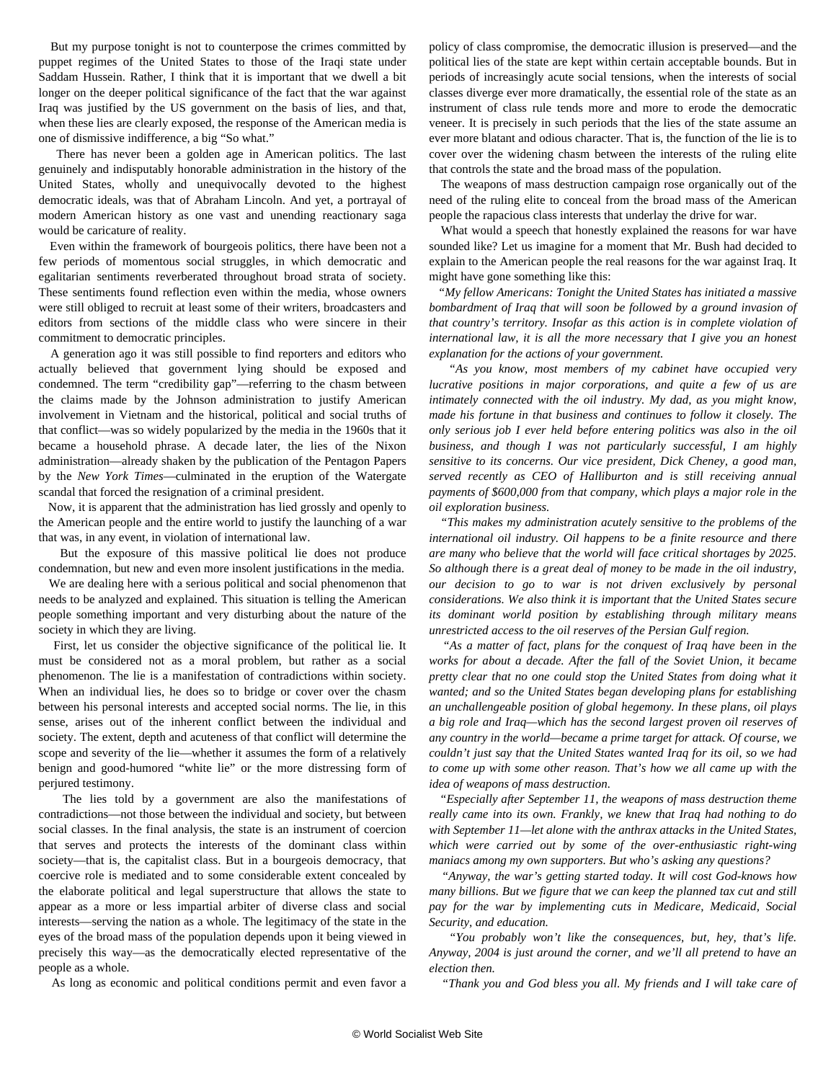But my purpose tonight is not to counterpose the crimes committed by puppet regimes of the United States to those of the Iraqi state under Saddam Hussein. Rather, I think that it is important that we dwell a bit longer on the deeper political significance of the fact that the war against Iraq was justified by the US government on the basis of lies, and that, when these lies are clearly exposed, the response of the American media is one of dismissive indifference, a big "So what."

 There has never been a golden age in American politics. The last genuinely and indisputably honorable administration in the history of the United States, wholly and unequivocally devoted to the highest democratic ideals, was that of Abraham Lincoln. And yet, a portrayal of modern American history as one vast and unending reactionary saga would be caricature of reality.

 Even within the framework of bourgeois politics, there have been not a few periods of momentous social struggles, in which democratic and egalitarian sentiments reverberated throughout broad strata of society. These sentiments found reflection even within the media, whose owners were still obliged to recruit at least some of their writers, broadcasters and editors from sections of the middle class who were sincere in their commitment to democratic principles.

 A generation ago it was still possible to find reporters and editors who actually believed that government lying should be exposed and condemned. The term "credibility gap"—referring to the chasm between the claims made by the Johnson administration to justify American involvement in Vietnam and the historical, political and social truths of that conflict—was so widely popularized by the media in the 1960s that it became a household phrase. A decade later, the lies of the Nixon administration—already shaken by the publication of the Pentagon Papers by the *New York Times*—culminated in the eruption of the Watergate scandal that forced the resignation of a criminal president.

 Now, it is apparent that the administration has lied grossly and openly to the American people and the entire world to justify the launching of a war that was, in any event, in violation of international law.

 But the exposure of this massive political lie does not produce condemnation, but new and even more insolent justifications in the media.

 We are dealing here with a serious political and social phenomenon that needs to be analyzed and explained. This situation is telling the American people something important and very disturbing about the nature of the society in which they are living.

 First, let us consider the objective significance of the political lie. It must be considered not as a moral problem, but rather as a social phenomenon. The lie is a manifestation of contradictions within society. When an individual lies, he does so to bridge or cover over the chasm between his personal interests and accepted social norms. The lie, in this sense, arises out of the inherent conflict between the individual and society. The extent, depth and acuteness of that conflict will determine the scope and severity of the lie—whether it assumes the form of a relatively benign and good-humored "white lie" or the more distressing form of perjured testimony.

 The lies told by a government are also the manifestations of contradictions—not those between the individual and society, but between social classes. In the final analysis, the state is an instrument of coercion that serves and protects the interests of the dominant class within society—that is, the capitalist class. But in a bourgeois democracy, that coercive role is mediated and to some considerable extent concealed by the elaborate political and legal superstructure that allows the state to appear as a more or less impartial arbiter of diverse class and social interests—serving the nation as a whole. The legitimacy of the state in the eyes of the broad mass of the population depends upon it being viewed in precisely this way—as the democratically elected representative of the people as a whole.

As long as economic and political conditions permit and even favor a

policy of class compromise, the democratic illusion is preserved—and the political lies of the state are kept within certain acceptable bounds. But in periods of increasingly acute social tensions, when the interests of social classes diverge ever more dramatically, the essential role of the state as an instrument of class rule tends more and more to erode the democratic veneer. It is precisely in such periods that the lies of the state assume an ever more blatant and odious character. That is, the function of the lie is to cover over the widening chasm between the interests of the ruling elite that controls the state and the broad mass of the population.

 The weapons of mass destruction campaign rose organically out of the need of the ruling elite to conceal from the broad mass of the American people the rapacious class interests that underlay the drive for war.

 What would a speech that honestly explained the reasons for war have sounded like? Let us imagine for a moment that Mr. Bush had decided to explain to the American people the real reasons for the war against Iraq. It might have gone something like this:

 *"My fellow Americans: Tonight the United States has initiated a massive bombardment of Iraq that will soon be followed by a ground invasion of that country's territory. Insofar as this action is in complete violation of international law, it is all the more necessary that I give you an honest explanation for the actions of your government.*

 *"As you know, most members of my cabinet have occupied very lucrative positions in major corporations, and quite a few of us are intimately connected with the oil industry. My dad, as you might know, made his fortune in that business and continues to follow it closely. The only serious job I ever held before entering politics was also in the oil business, and though I was not particularly successful, I am highly sensitive to its concerns. Our vice president, Dick Cheney, a good man, served recently as CEO of Halliburton and is still receiving annual payments of \$600,000 from that company, which plays a major role in the oil exploration business.*

 *"This makes my administration acutely sensitive to the problems of the international oil industry. Oil happens to be a finite resource and there are many who believe that the world will face critical shortages by 2025. So although there is a great deal of money to be made in the oil industry, our decision to go to war is not driven exclusively by personal considerations. We also think it is important that the United States secure its dominant world position by establishing through military means unrestricted access to the oil reserves of the Persian Gulf region.*

 *"As a matter of fact, plans for the conquest of Iraq have been in the works for about a decade. After the fall of the Soviet Union, it became pretty clear that no one could stop the United States from doing what it wanted; and so the United States began developing plans for establishing an unchallengeable position of global hegemony. In these plans, oil plays a big role and Iraq—which has the second largest proven oil reserves of any country in the world—became a prime target for attack. Of course, we couldn't just say that the United States wanted Iraq for its oil, so we had to come up with some other reason. That's how we all came up with the idea of weapons of mass destruction.*

 *"Especially after September 11, the weapons of mass destruction theme really came into its own. Frankly, we knew that Iraq had nothing to do with September 11—let alone with the anthrax attacks in the United States, which were carried out by some of the over-enthusiastic right-wing maniacs among my own supporters. But who's asking any questions?*

 *"Anyway, the war's getting started today. It will cost God-knows how many billions. But we figure that we can keep the planned tax cut and still pay for the war by implementing cuts in Medicare, Medicaid, Social Security, and education.*

 *"You probably won't like the consequences, but, hey, that's life. Anyway, 2004 is just around the corner, and we'll all pretend to have an election then.*

*"Thank you and God bless you all. My friends and I will take care of*